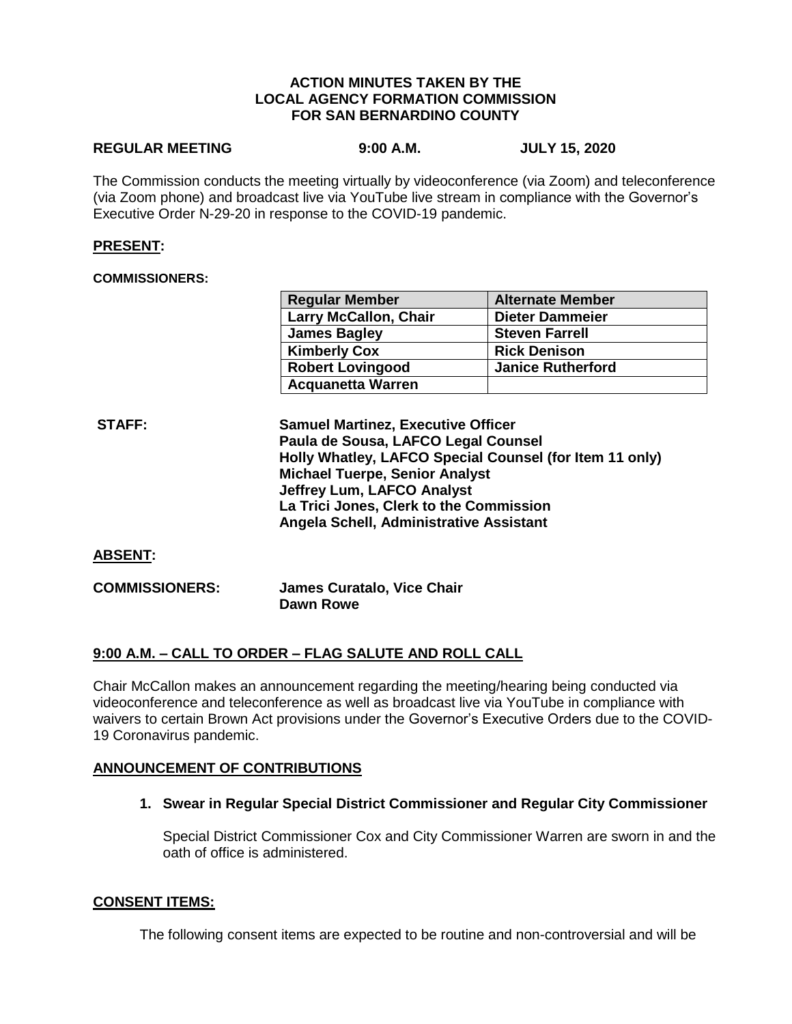### **ACTION MINUTES TAKEN BY THE LOCAL AGENCY FORMATION COMMISSION FOR SAN BERNARDINO COUNTY**

# **REGULAR MEETING 9:00 A.M. JULY 15, 2020**

The Commission conducts the meeting virtually by videoconference (via Zoom) and teleconference (via Zoom phone) and broadcast live via YouTube live stream in compliance with the Governor's Executive Order N-29-20 in response to the COVID-19 pandemic.

## **PRESENT:**

### **COMMISSIONERS:**

| <b>Regular Member</b>        | <b>Alternate Member</b>  |
|------------------------------|--------------------------|
| <b>Larry McCallon, Chair</b> | <b>Dieter Dammeier</b>   |
| <b>James Bagley</b>          | <b>Steven Farrell</b>    |
| <b>Kimberly Cox</b>          | <b>Rick Denison</b>      |
| <b>Robert Lovingood</b>      | <b>Janice Rutherford</b> |
| <b>Acquanetta Warren</b>     |                          |

**STAFF: Samuel Martinez, Executive Officer Paula de Sousa, LAFCO Legal Counsel Holly Whatley, LAFCO Special Counsel (for Item 11 only) Michael Tuerpe, Senior Analyst Jeffrey Lum, LAFCO Analyst La Trici Jones, Clerk to the Commission Angela Schell, Administrative Assistant**

### **ABSENT:**

**COMMISSIONERS: James Curatalo, Vice Chair Dawn Rowe**

## **9:00 A.M. – CALL TO ORDER – FLAG SALUTE AND ROLL CALL**

Chair McCallon makes an announcement regarding the meeting/hearing being conducted via videoconference and teleconference as well as broadcast live via YouTube in compliance with waivers to certain Brown Act provisions under the Governor's Executive Orders due to the COVID-19 Coronavirus pandemic.

### **ANNOUNCEMENT OF CONTRIBUTIONS**

**1. Swear in Regular Special District Commissioner and Regular City Commissioner**

Special District Commissioner Cox and City Commissioner Warren are sworn in and the oath of office is administered.

### **CONSENT ITEMS:**

The following consent items are expected to be routine and non-controversial and will be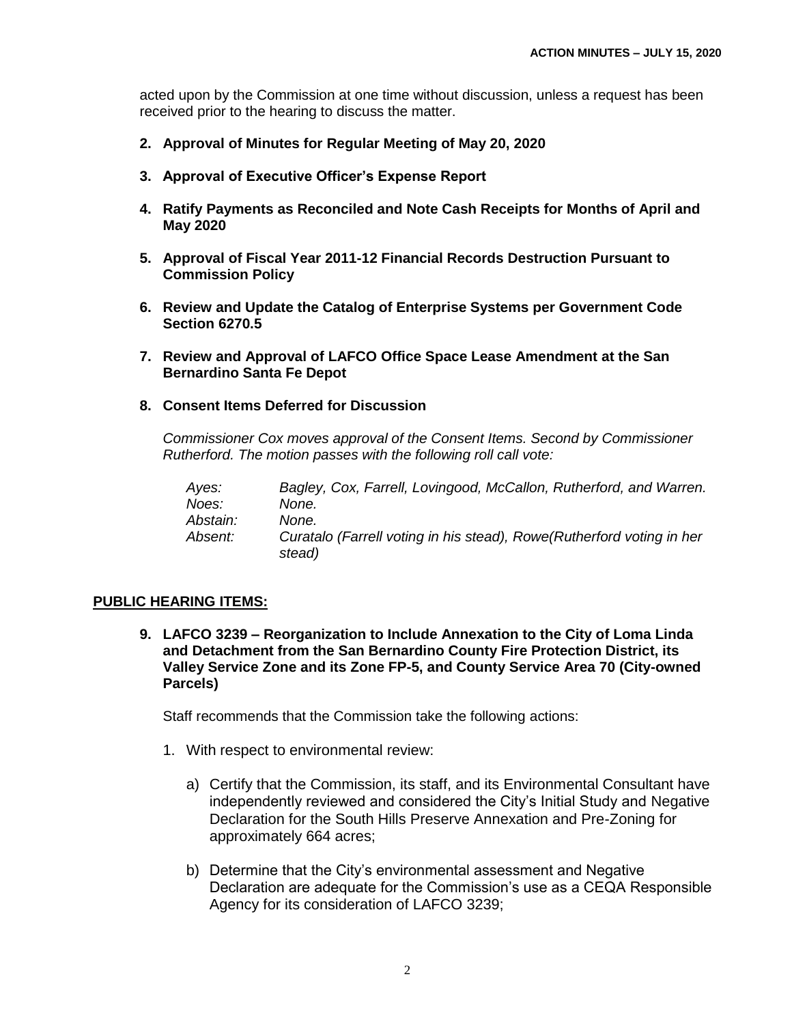acted upon by the Commission at one time without discussion, unless a request has been received prior to the hearing to discuss the matter.

- **2. Approval of Minutes for Regular Meeting of May 20, 2020**
- **3. Approval of Executive Officer's Expense Report**
- **4. Ratify Payments as Reconciled and Note Cash Receipts for Months of April and May 2020**
- **5. Approval of Fiscal Year 2011-12 Financial Records Destruction Pursuant to Commission Policy**
- **6. Review and Update the Catalog of Enterprise Systems per Government Code Section 6270.5**
- **7. Review and Approval of LAFCO Office Space Lease Amendment at the San Bernardino Santa Fe Depot**
- **8. Consent Items Deferred for Discussion**

*Commissioner Cox moves approval of the Consent Items. Second by Commissioner Rutherford. The motion passes with the following roll call vote:* 

*Ayes: Bagley, Cox, Farrell, Lovingood, McCallon, Rutherford, and Warren. Noes: None. Abstain: None. Absent: Curatalo (Farrell voting in his stead), Rowe(Rutherford voting in her stead)*

## **PUBLIC HEARING ITEMS:**

**9. LAFCO 3239 – Reorganization to Include Annexation to the City of Loma Linda and Detachment from the San Bernardino County Fire Protection District, its Valley Service Zone and its Zone FP-5, and County Service Area 70 (City-owned Parcels)**

Staff recommends that the Commission take the following actions:

- 1. With respect to environmental review:
	- a) Certify that the Commission, its staff, and its Environmental Consultant have independently reviewed and considered the City's Initial Study and Negative Declaration for the South Hills Preserve Annexation and Pre-Zoning for approximately 664 acres;
	- b) Determine that the City's environmental assessment and Negative Declaration are adequate for the Commission's use as a CEQA Responsible Agency for its consideration of LAFCO 3239;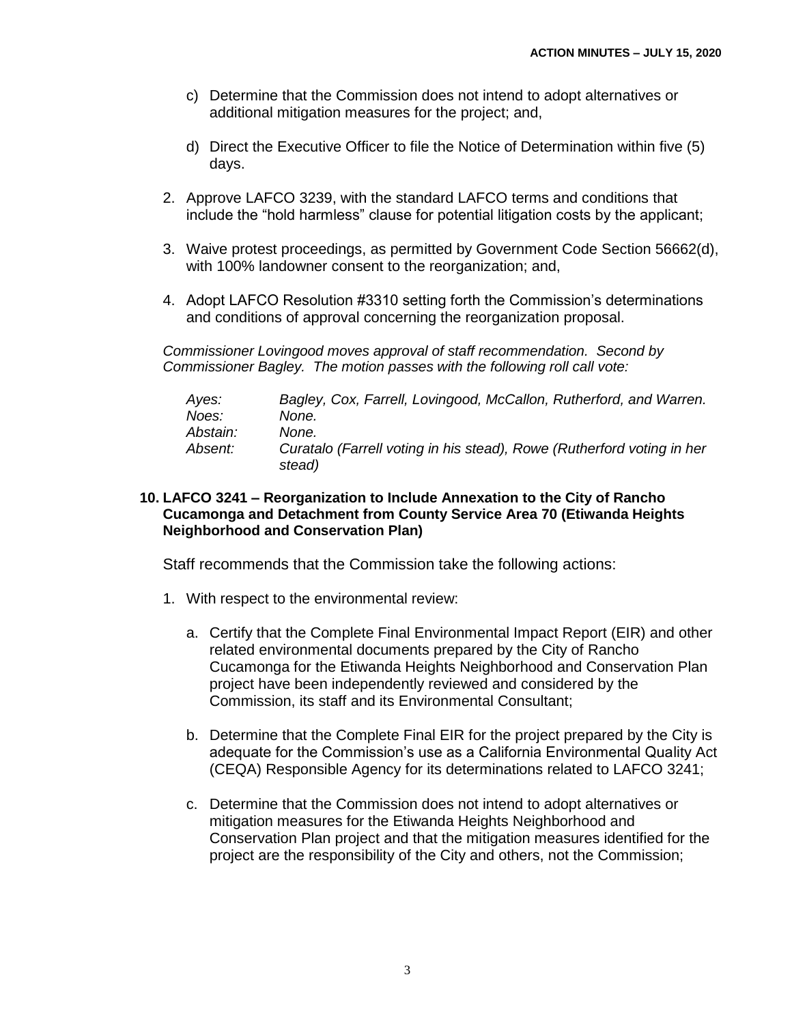- c) Determine that the Commission does not intend to adopt alternatives or additional mitigation measures for the project; and,
- d) Direct the Executive Officer to file the Notice of Determination within five (5) days.
- 2. Approve LAFCO 3239, with the standard LAFCO terms and conditions that include the "hold harmless" clause for potential litigation costs by the applicant;
- 3. Waive protest proceedings, as permitted by Government Code Section 56662(d), with 100% landowner consent to the reorganization; and,
- 4. Adopt LAFCO Resolution #3310 setting forth the Commission's determinations and conditions of approval concerning the reorganization proposal.

*Commissioner Lovingood moves approval of staff recommendation. Second by Commissioner Bagley. The motion passes with the following roll call vote:* 

| Ayes:          | Bagley, Cox, Farrell, Lovingood, McCallon, Rutherford, and Warren.               |
|----------------|----------------------------------------------------------------------------------|
| Noes:          | None.                                                                            |
| Abstain:       | None.                                                                            |
| <i>Absent:</i> | Curatalo (Farrell voting in his stead), Rowe (Rutherford voting in her<br>stead) |

**10. LAFCO 3241 – Reorganization to Include Annexation to the City of Rancho Cucamonga and Detachment from County Service Area 70 (Etiwanda Heights Neighborhood and Conservation Plan)**

Staff recommends that the Commission take the following actions:

- 1. With respect to the environmental review:
	- a. Certify that the Complete Final Environmental Impact Report (EIR) and other related environmental documents prepared by the City of Rancho Cucamonga for the Etiwanda Heights Neighborhood and Conservation Plan project have been independently reviewed and considered by the Commission, its staff and its Environmental Consultant;
	- b. Determine that the Complete Final EIR for the project prepared by the City is adequate for the Commission's use as a California Environmental Quality Act (CEQA) Responsible Agency for its determinations related to LAFCO 3241;
	- c. Determine that the Commission does not intend to adopt alternatives or mitigation measures for the Etiwanda Heights Neighborhood and Conservation Plan project and that the mitigation measures identified for the project are the responsibility of the City and others, not the Commission;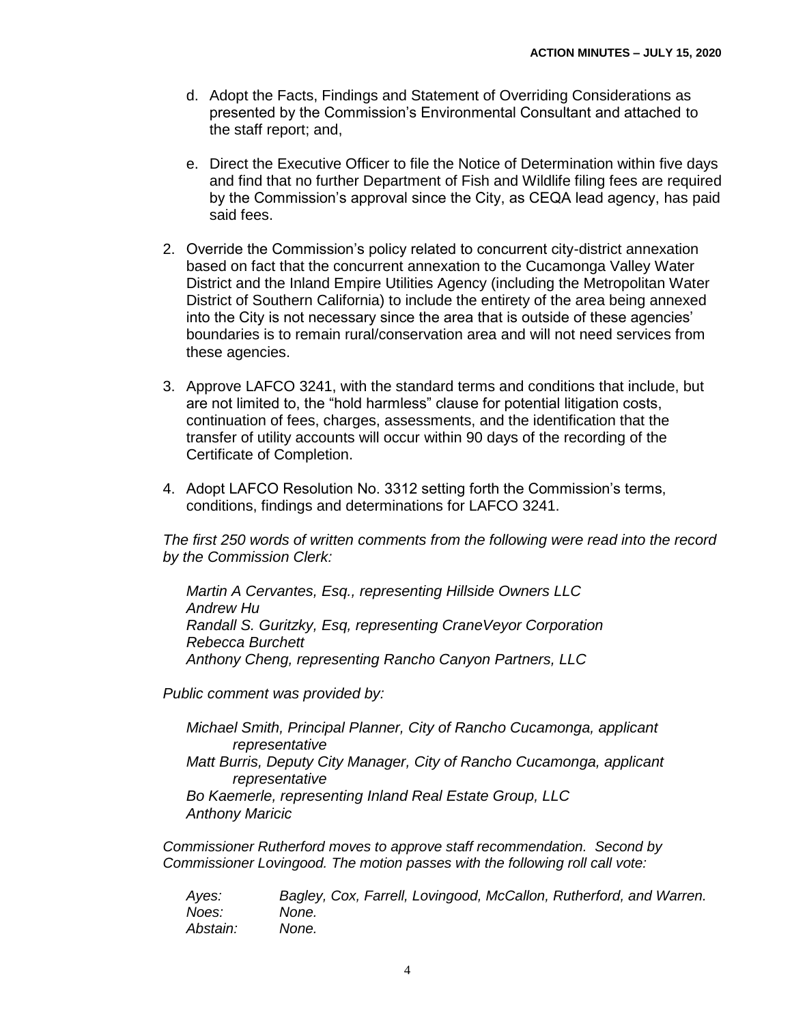- d. Adopt the Facts, Findings and Statement of Overriding Considerations as presented by the Commission's Environmental Consultant and attached to the staff report; and,
- e. Direct the Executive Officer to file the Notice of Determination within five days and find that no further Department of Fish and Wildlife filing fees are required by the Commission's approval since the City, as CEQA lead agency, has paid said fees.
- 2. Override the Commission's policy related to concurrent city-district annexation based on fact that the concurrent annexation to the Cucamonga Valley Water District and the Inland Empire Utilities Agency (including the Metropolitan Water District of Southern California) to include the entirety of the area being annexed into the City is not necessary since the area that is outside of these agencies' boundaries is to remain rural/conservation area and will not need services from these agencies.
- 3. Approve LAFCO 3241, with the standard terms and conditions that include, but are not limited to, the "hold harmless" clause for potential litigation costs, continuation of fees, charges, assessments, and the identification that the transfer of utility accounts will occur within 90 days of the recording of the Certificate of Completion.
- 4. Adopt LAFCO Resolution No. 3312 setting forth the Commission's terms, conditions, findings and determinations for LAFCO 3241.

*The first 250 words of written comments from the following were read into the record by the Commission Clerk:*

*Martin A Cervantes, Esq., representing Hillside Owners LLC Andrew Hu Randall S. Guritzky, Esq, representing CraneVeyor Corporation Rebecca Burchett Anthony Cheng, representing Rancho Canyon Partners, LLC*

*Public comment was provided by:*

*Michael Smith, Principal Planner, City of Rancho Cucamonga, applicant representative Matt Burris, Deputy City Manager, City of Rancho Cucamonga, applicant representative Bo Kaemerle, representing Inland Real Estate Group, LLC Anthony Maricic*

*Commissioner Rutherford moves to approve staff recommendation. Second by Commissioner Lovingood. The motion passes with the following roll call vote:* 

| Ayes:    | Bagley, Cox, Farrell, Lovingood, McCallon, Rutherford, and Warren. |
|----------|--------------------------------------------------------------------|
| Noes:    | None.                                                              |
| Abstain: | None.                                                              |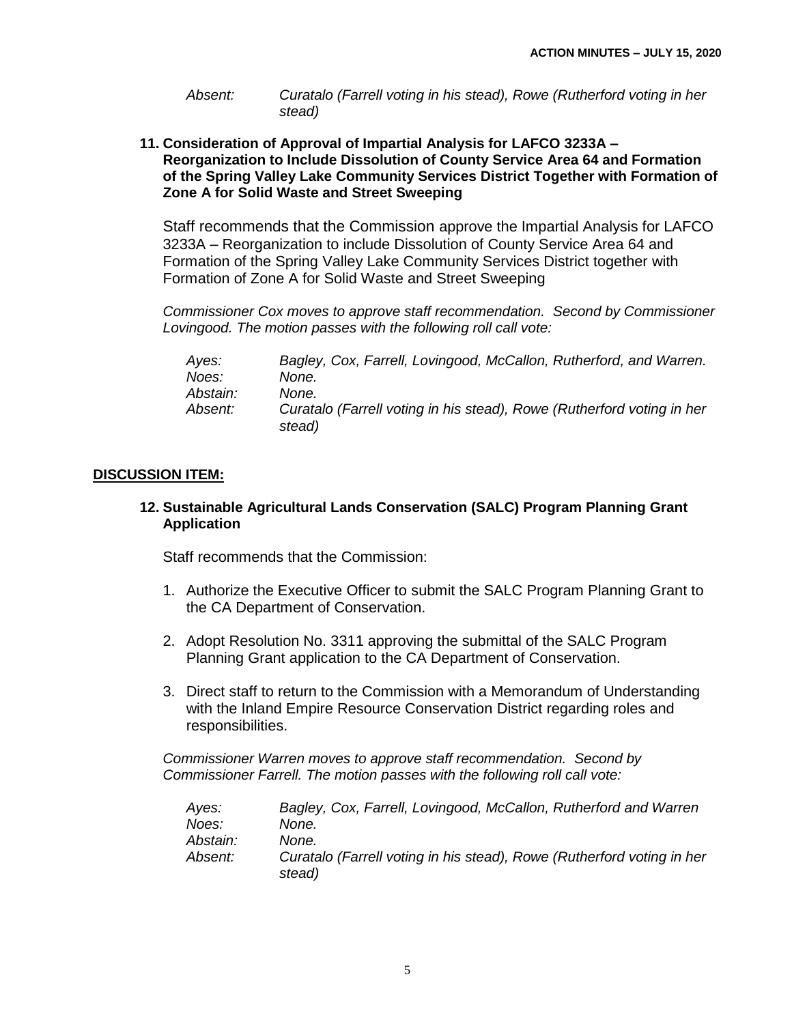*Absent: Curatalo (Farrell voting in his stead), Rowe (Rutherford voting in her stead)*

**11. Consideration of Approval of Impartial Analysis for LAFCO 3233A – Reorganization to Include Dissolution of County Service Area 64 and Formation of the Spring Valley Lake Community Services District Together with Formation of Zone A for Solid Waste and Street Sweeping**

Staff recommends that the Commission approve the Impartial Analysis for LAFCO 3233A – Reorganization to include Dissolution of County Service Area 64 and Formation of the Spring Valley Lake Community Services District together with Formation of Zone A for Solid Waste and Street Sweeping

*Commissioner Cox moves to approve staff recommendation. Second by Commissioner Lovingood. The motion passes with the following roll call vote:* 

| Ayes:          | Bagley, Cox, Farrell, Lovingood, McCallon, Rutherford, and Warren.               |
|----------------|----------------------------------------------------------------------------------|
| Noes:          | None.                                                                            |
| Abstain:       | None.                                                                            |
| <i>Absent:</i> | Curatalo (Farrell voting in his stead), Rowe (Rutherford voting in her<br>stead) |

# **DISCUSSION ITEM:**

## **12. Sustainable Agricultural Lands Conservation (SALC) Program Planning Grant Application**

Staff recommends that the Commission:

- 1. Authorize the Executive Officer to submit the SALC Program Planning Grant to the CA Department of Conservation.
- 2. Adopt Resolution No. 3311 approving the submittal of the SALC Program Planning Grant application to the CA Department of Conservation.
- 3. Direct staff to return to the Commission with a Memorandum of Understanding with the Inland Empire Resource Conservation District regarding roles and responsibilities.

*Commissioner Warren moves to approve staff recommendation. Second by Commissioner Farrell. The motion passes with the following roll call vote:* 

| Ayes:          | Bagley, Cox, Farrell, Lovingood, McCallon, Rutherford and Warren                 |
|----------------|----------------------------------------------------------------------------------|
| Noes:          | None.                                                                            |
| Abstain:       | None.                                                                            |
| <i>Absent:</i> | Curatalo (Farrell voting in his stead), Rowe (Rutherford voting in her<br>stead) |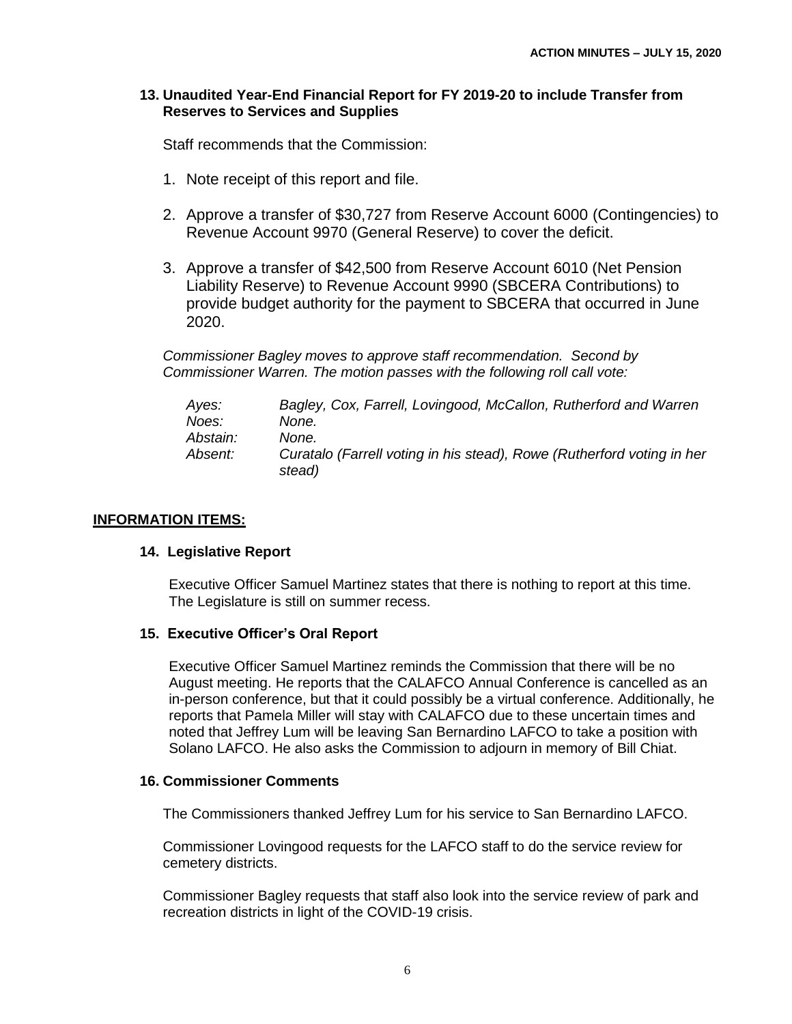## **13. Unaudited Year-End Financial Report for FY 2019-20 to include Transfer from Reserves to Services and Supplies**

Staff recommends that the Commission:

- 1. Note receipt of this report and file.
- 2. Approve a transfer of \$30,727 from Reserve Account 6000 (Contingencies) to Revenue Account 9970 (General Reserve) to cover the deficit.
- 3. Approve a transfer of \$42,500 from Reserve Account 6010 (Net Pension Liability Reserve) to Revenue Account 9990 (SBCERA Contributions) to provide budget authority for the payment to SBCERA that occurred in June 2020.

*Commissioner Bagley moves to approve staff recommendation. Second by Commissioner Warren. The motion passes with the following roll call vote:* 

| Ayes:          | Bagley, Cox, Farrell, Lovingood, McCallon, Rutherford and Warren                 |
|----------------|----------------------------------------------------------------------------------|
| Noes:          | None.                                                                            |
| Abstain:       | None.                                                                            |
| <i>Absent:</i> | Curatalo (Farrell voting in his stead), Rowe (Rutherford voting in her<br>stead) |

## **INFORMATION ITEMS:**

## **14. Legislative Report**

Executive Officer Samuel Martinez states that there is nothing to report at this time. The Legislature is still on summer recess.

## **15. Executive Officer's Oral Report**

Executive Officer Samuel Martinez reminds the Commission that there will be no August meeting. He reports that the CALAFCO Annual Conference is cancelled as an in-person conference, but that it could possibly be a virtual conference. Additionally, he reports that Pamela Miller will stay with CALAFCO due to these uncertain times and noted that Jeffrey Lum will be leaving San Bernardino LAFCO to take a position with Solano LAFCO. He also asks the Commission to adjourn in memory of Bill Chiat.

### **16. Commissioner Comments**

The Commissioners thanked Jeffrey Lum for his service to San Bernardino LAFCO.

Commissioner Lovingood requests for the LAFCO staff to do the service review for cemetery districts.

Commissioner Bagley requests that staff also look into the service review of park and recreation districts in light of the COVID-19 crisis.